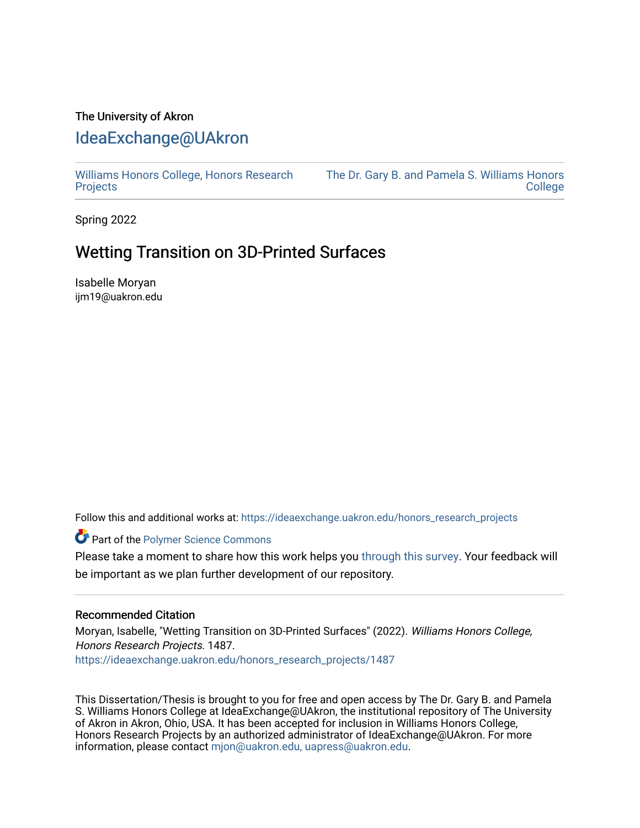## The University of Akron [IdeaExchange@UAkron](https://ideaexchange.uakron.edu/)

[Williams Honors College, Honors Research](https://ideaexchange.uakron.edu/honors_research_projects)  **[Projects](https://ideaexchange.uakron.edu/honors_research_projects)** 

[The Dr. Gary B. and Pamela S. Williams Honors](https://ideaexchange.uakron.edu/honorscollege_ideas)  [College](https://ideaexchange.uakron.edu/honorscollege_ideas) 

Spring 2022

# Wetting Transition on 3D-Printed Surfaces

Isabelle Moryan ijm19@uakron.edu

Follow this and additional works at: [https://ideaexchange.uakron.edu/honors\\_research\\_projects](https://ideaexchange.uakron.edu/honors_research_projects?utm_source=ideaexchange.uakron.edu%2Fhonors_research_projects%2F1487&utm_medium=PDF&utm_campaign=PDFCoverPages) 

Part of the [Polymer Science Commons](http://network.bepress.com/hgg/discipline/246?utm_source=ideaexchange.uakron.edu%2Fhonors_research_projects%2F1487&utm_medium=PDF&utm_campaign=PDFCoverPages) 

Please take a moment to share how this work helps you [through this survey](http://survey.az1.qualtrics.com/SE/?SID=SV_eEVH54oiCbOw05f&URL=https://ideaexchange.uakron.edu/honors_research_projects/1487). Your feedback will be important as we plan further development of our repository.

#### Recommended Citation

Moryan, Isabelle, "Wetting Transition on 3D-Printed Surfaces" (2022). Williams Honors College, Honors Research Projects. 1487.

[https://ideaexchange.uakron.edu/honors\\_research\\_projects/1487](https://ideaexchange.uakron.edu/honors_research_projects/1487?utm_source=ideaexchange.uakron.edu%2Fhonors_research_projects%2F1487&utm_medium=PDF&utm_campaign=PDFCoverPages) 

This Dissertation/Thesis is brought to you for free and open access by The Dr. Gary B. and Pamela S. Williams Honors College at IdeaExchange@UAkron, the institutional repository of The University of Akron in Akron, Ohio, USA. It has been accepted for inclusion in Williams Honors College, Honors Research Projects by an authorized administrator of IdeaExchange@UAkron. For more information, please contact [mjon@uakron.edu, uapress@uakron.edu.](mailto:mjon@uakron.edu,%20uapress@uakron.edu)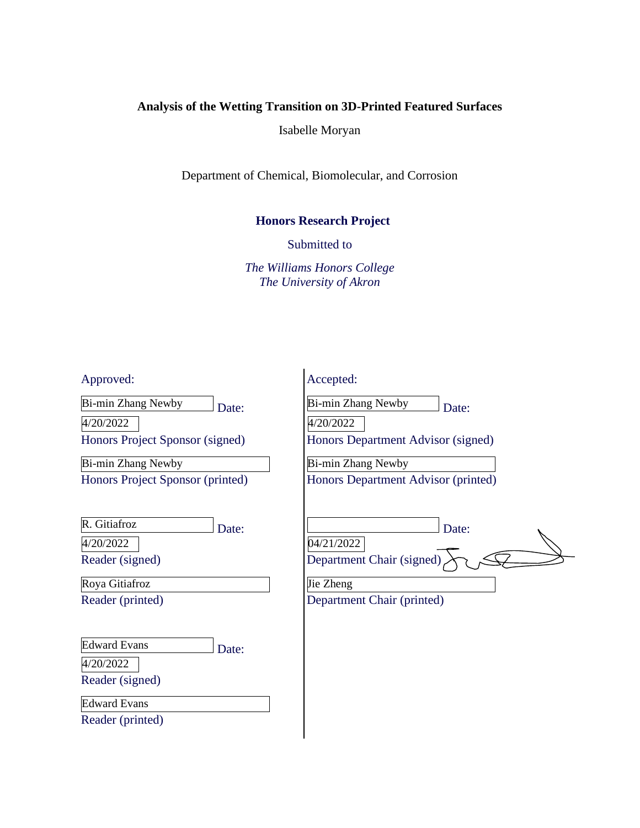### **Analysis of the Wetting Transition on 3D-Printed Featured Surfaces**

Isabelle Moryan

Department of Chemical, Biomolecular, and Corrosion

#### **Honors Research Project**

Submitted to

*The Williams Honors College The University of Akron*

Approved:

Date: Bi-min Zhang Newby

4/20/2022

Honors Project Sponsor (signed)

Honors Project Sponsor (printed) Bi-min Zhang Newby

| R. Gitiafroz | Date: |
|--------------|-------|
|              |       |

4/20/2022

Reader (signed)

Reader (printed) Roya Gitiafroz

| <b>Edward Evans</b> | Date: |
|---------------------|-------|
|---------------------|-------|

4/20/2022

Reader (signed)

Edward Evans

Reader (printed)

| Accepted:                           |       |  |
|-------------------------------------|-------|--|
| Bi-min Zhang Newby                  | Date: |  |
| 4/20/2022                           |       |  |
| Honors Department Advisor (signed)  |       |  |
| Bi-min Zhang Newby                  |       |  |
| Honors Department Advisor (printed) |       |  |
|                                     |       |  |
|                                     | Date: |  |
| 04/21/2022                          |       |  |
| Department Chair (signed)           |       |  |
| Jie Zheng                           |       |  |
|                                     |       |  |

Department Chair (printed)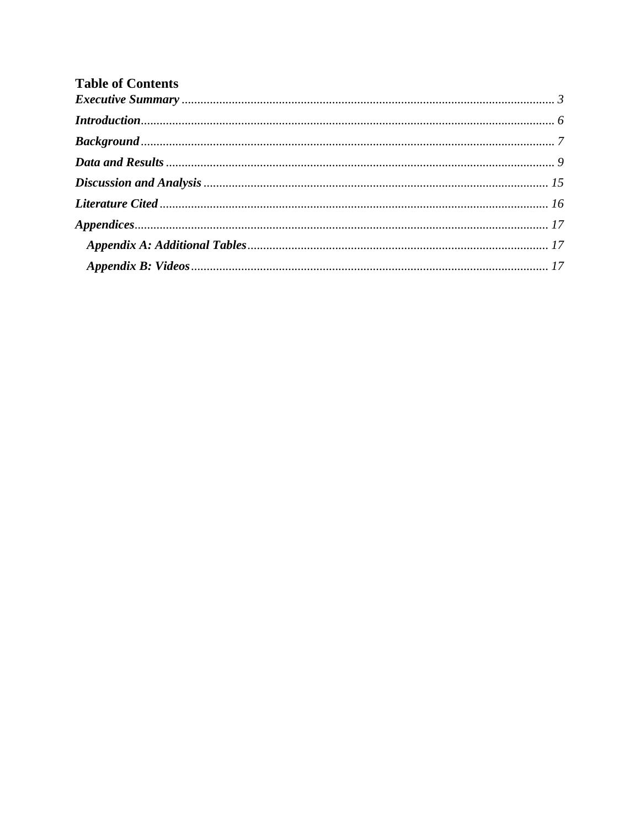| <b>Table of Contents</b> |  |
|--------------------------|--|
|                          |  |
|                          |  |
|                          |  |
|                          |  |
|                          |  |
|                          |  |
|                          |  |
|                          |  |
|                          |  |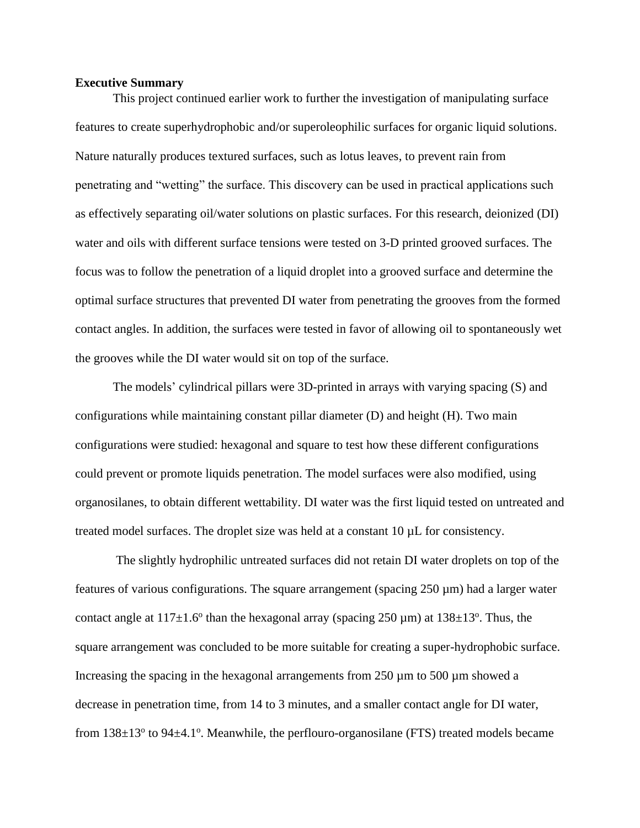#### <span id="page-3-0"></span>**Executive Summary**

This project continued earlier work to further the investigation of manipulating surface features to create superhydrophobic and/or superoleophilic surfaces for organic liquid solutions. Nature naturally produces textured surfaces, such as lotus leaves, to prevent rain from penetrating and "wetting" the surface. This discovery can be used in practical applications such as effectively separating oil/water solutions on plastic surfaces. For this research, deionized (DI) water and oils with different surface tensions were tested on 3-D printed grooved surfaces. The focus was to follow the penetration of a liquid droplet into a grooved surface and determine the optimal surface structures that prevented DI water from penetrating the grooves from the formed contact angles. In addition, the surfaces were tested in favor of allowing oil to spontaneously wet the grooves while the DI water would sit on top of the surface.

The models' cylindrical pillars were 3D-printed in arrays with varying spacing (S) and configurations while maintaining constant pillar diameter (D) and height (H). Two main configurations were studied: hexagonal and square to test how these different configurations could prevent or promote liquids penetration. The model surfaces were also modified, using organosilanes, to obtain different wettability. DI water was the first liquid tested on untreated and treated model surfaces. The droplet size was held at a constant 10 µL for consistency.

The slightly hydrophilic untreated surfaces did not retain DI water droplets on top of the features of various configurations. The square arrangement (spacing  $250 \mu m$ ) had a larger water contact angle at  $117\pm1.6^{\circ}$  than the hexagonal array (spacing  $250 \,\mu$ m) at  $138\pm13^{\circ}$ . Thus, the square arrangement was concluded to be more suitable for creating a super-hydrophobic surface. Increasing the spacing in the hexagonal arrangements from 250 µm to 500 µm showed a decrease in penetration time, from 14 to 3 minutes, and a smaller contact angle for DI water, from  $138\pm13^{\circ}$  to  $94\pm4.1^{\circ}$ . Meanwhile, the perflouro-organosilane (FTS) treated models became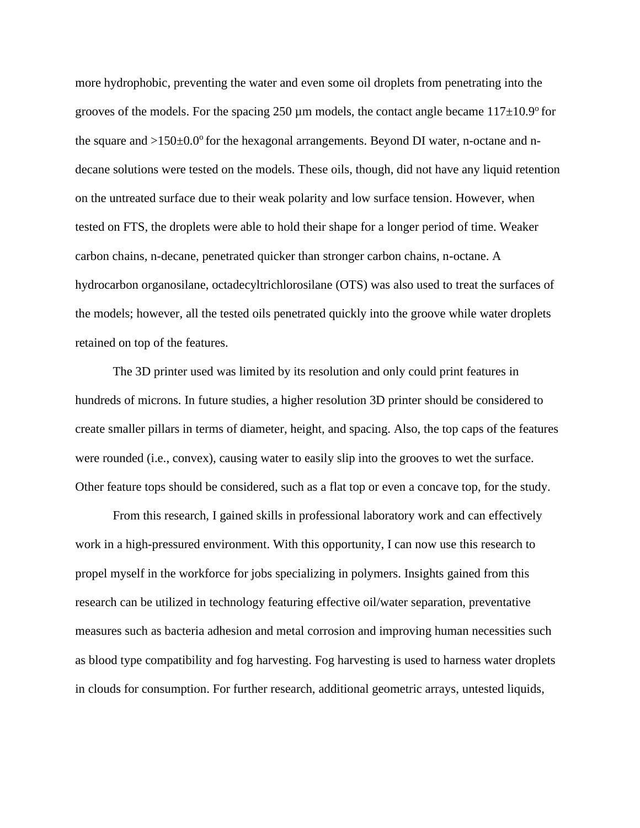more hydrophobic, preventing the water and even some oil droplets from penetrating into the grooves of the models. For the spacing 250  $\mu$ m models, the contact angle became 117 $\pm$ 10.9<sup>o</sup> for the square and  $>150\pm0.0^{\circ}$  for the hexagonal arrangements. Beyond DI water, n-octane and ndecane solutions were tested on the models. These oils, though, did not have any liquid retention on the untreated surface due to their weak polarity and low surface tension. However, when tested on FTS, the droplets were able to hold their shape for a longer period of time. Weaker carbon chains, n-decane, penetrated quicker than stronger carbon chains, n-octane. A hydrocarbon organosilane, octadecyltrichlorosilane (OTS) was also used to treat the surfaces of the models; however, all the tested oils penetrated quickly into the groove while water droplets retained on top of the features.

The 3D printer used was limited by its resolution and only could print features in hundreds of microns. In future studies, a higher resolution 3D printer should be considered to create smaller pillars in terms of diameter, height, and spacing. Also, the top caps of the features were rounded (i.e., convex), causing water to easily slip into the grooves to wet the surface. Other feature tops should be considered, such as a flat top or even a concave top, for the study.

From this research, I gained skills in professional laboratory work and can effectively work in a high-pressured environment. With this opportunity, I can now use this research to propel myself in the workforce for jobs specializing in polymers. Insights gained from this research can be utilized in technology featuring effective oil/water separation, preventative measures such as bacteria adhesion and metal corrosion and improving human necessities such as blood type compatibility and fog harvesting. Fog harvesting is used to harness water droplets in clouds for consumption. For further research, additional geometric arrays, untested liquids,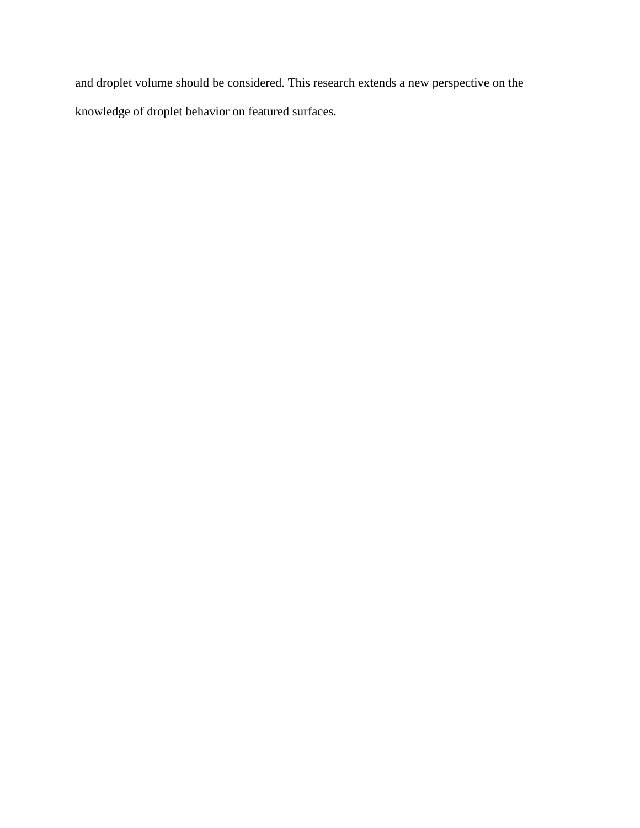and droplet volume should be considered. This research extends a new perspective on the knowledge of droplet behavior on featured surfaces.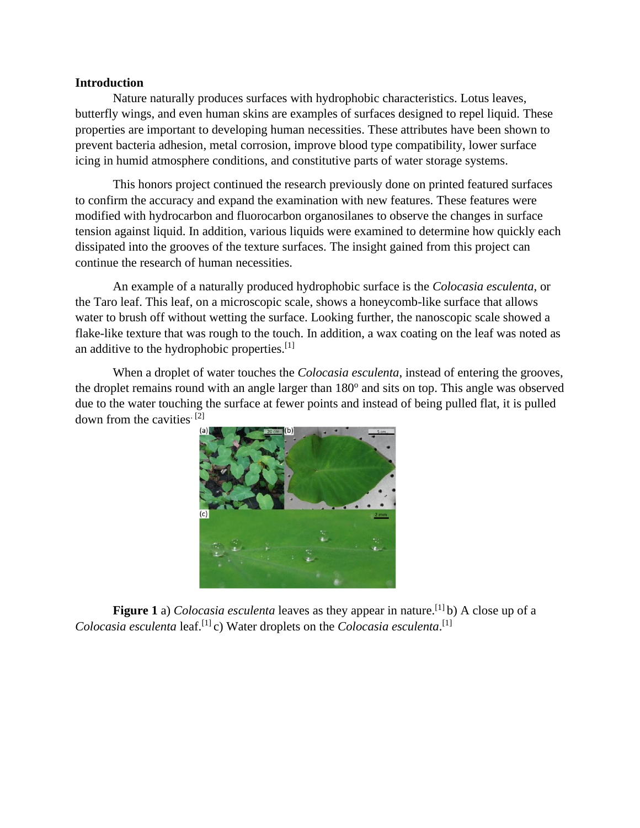#### <span id="page-6-0"></span>**Introduction**

Nature naturally produces surfaces with hydrophobic characteristics. Lotus leaves, butterfly wings, and even human skins are examples of surfaces designed to repel liquid. These properties are important to developing human necessities. These attributes have been shown to prevent bacteria adhesion, metal corrosion, improve blood type compatibility, lower surface icing in humid atmosphere conditions, and constitutive parts of water storage systems.

This honors project continued the research previously done on printed featured surfaces to confirm the accuracy and expand the examination with new features. These features were modified with hydrocarbon and fluorocarbon organosilanes to observe the changes in surface tension against liquid. In addition, various liquids were examined to determine how quickly each dissipated into the grooves of the texture surfaces. The insight gained from this project can continue the research of human necessities.

An example of a naturally produced hydrophobic surface is the *Colocasia esculenta*, or the Taro leaf. This leaf, on a microscopic scale, shows a honeycomb-like surface that allows water to brush off without wetting the surface. Looking further, the nanoscopic scale showed a flake-like texture that was rough to the touch. In addition, a wax coating on the leaf was noted as an additive to the hydrophobic properties.[1]

When a droplet of water touches the *Colocasia esculenta*, instead of entering the grooves, the droplet remains round with an angle larger than 180° and sits on top. This angle was observed due to the water touching the surface at fewer points and instead of being pulled flat, it is pulled down from the cavities.  $[2]$ 



Figure 1 a) *Colocasia esculenta* leaves as they appear in nature.<sup>[1]</sup> b) A close up of a *Colocasia esculenta* leaf. [1] c) Water droplets on the *Colocasia esculenta*. [1]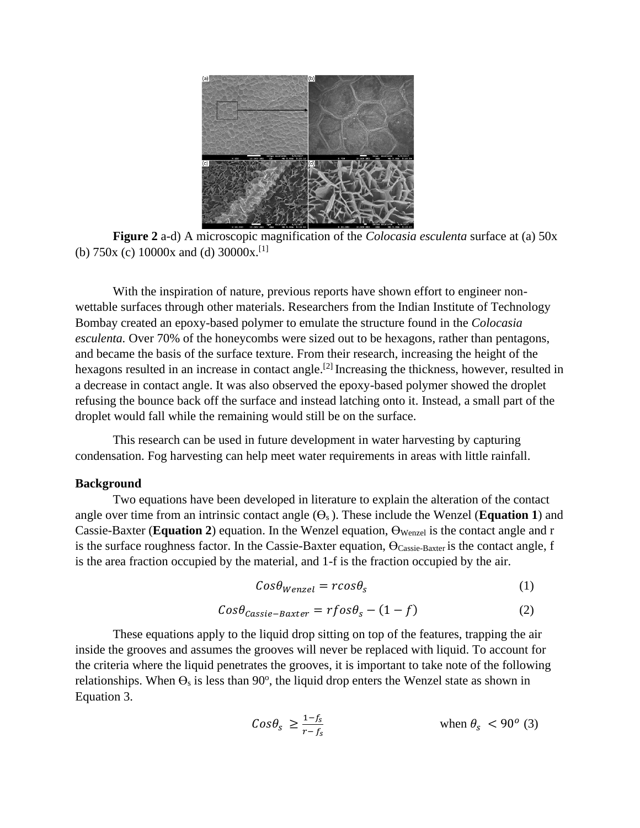

**Figure 2** a-d) A microscopic magnification of the *Colocasia esculenta* surface at (a) 50x (b) 750x (c) 10000x and (d) 30000x.<sup>[1]</sup>

With the inspiration of nature, previous reports have shown effort to engineer nonwettable surfaces through other materials. Researchers from the Indian Institute of Technology Bombay created an epoxy-based polymer to emulate the structure found in the *Colocasia esculenta.* Over 70% of the honeycombs were sized out to be hexagons, rather than pentagons, and became the basis of the surface texture. From their research, increasing the height of the hexagons resulted in an increase in contact angle.<sup>[2]</sup> Increasing the thickness, however, resulted in a decrease in contact angle. It was also observed the epoxy-based polymer showed the droplet refusing the bounce back off the surface and instead latching onto it. Instead, a small part of the droplet would fall while the remaining would still be on the surface.

This research can be used in future development in water harvesting by capturing condensation. Fog harvesting can help meet water requirements in areas with little rainfall.

#### <span id="page-7-0"></span>**Background**

Two equations have been developed in literature to explain the alteration of the contact angle over time from an intrinsic contact angle  $(\Theta_s)$ . These include the Wenzel (**Equation 1**) and Cassie-Baxter (**Equation 2**) equation. In the Wenzel equation, ϴWenzel is the contact angle and r is the surface roughness factor. In the Cassie-Baxter equation,  $\Theta_{\text{Cassie-Baster}}$  is the contact angle, f is the area fraction occupied by the material, and 1-f is the fraction occupied by the air.

$$
Cos\theta_{Wenzel} = r\cos\theta_s \tag{1}
$$

$$
Cos\theta_{\text{Cassie}-\text{Baster}} = rfos\theta_s - (1 - f) \tag{2}
$$

These equations apply to the liquid drop sitting on top of the features, trapping the air inside the grooves and assumes the grooves will never be replaced with liquid. To account for the criteria where the liquid penetrates the grooves, it is important to take note of the following relationships. When  $\Theta_s$  is less than 90 $\degree$ , the liquid drop enters the Wenzel state as shown in Equation 3.

$$
Cos\theta_{s} \ge \frac{1-f_{s}}{r-f_{s}} \qquad \qquad \text{when } \theta_{s} < 90^{\circ} \text{ (3)}
$$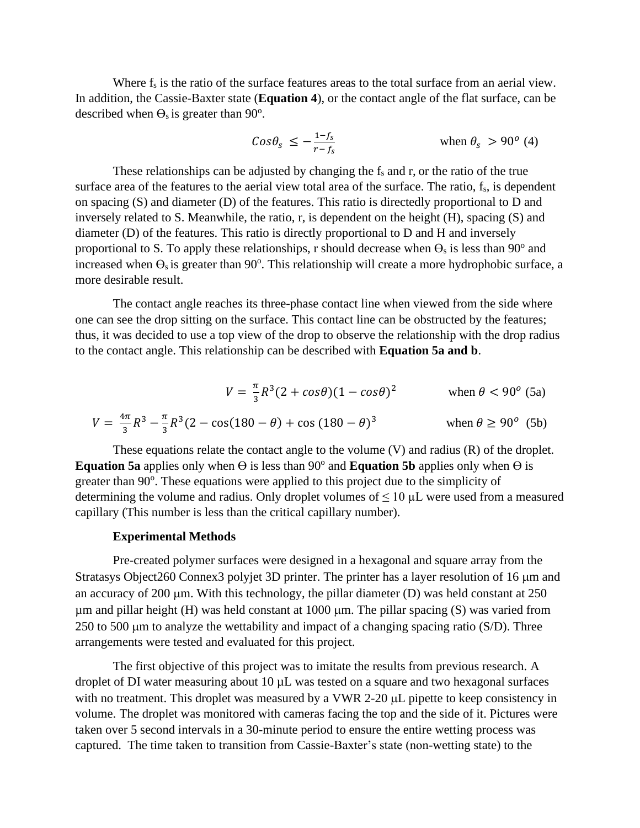Where  $f_s$  is the ratio of the surface features areas to the total surface from an aerial view. In addition, the Cassie-Baxter state (**Equation 4**), or the contact angle of the flat surface, can be described when  $\Theta_s$  is greater than 90<sup>o</sup>.

$$
Cos\theta_{s} \le -\frac{1-f_{s}}{r-f_{s}} \qquad \qquad \text{when } \theta_{s} > 90^{o} \text{ (4)}
$$

These relationships can be adjusted by changing the  $f_s$  and  $r$ , or the ratio of the true surface area of the features to the aerial view total area of the surface. The ratio,  $f_s$ , is dependent on spacing (S) and diameter (D) of the features. This ratio is directedly proportional to D and inversely related to S. Meanwhile, the ratio, r, is dependent on the height (H), spacing (S) and diameter (D) of the features. This ratio is directly proportional to D and H and inversely proportional to S. To apply these relationships, r should decrease when  $\Theta_s$  is less than 90<sup>o</sup> and increased when  $\Theta_s$  is greater than  $90^\circ$ . This relationship will create a more hydrophobic surface, a more desirable result.

The contact angle reaches its three-phase contact line when viewed from the side where one can see the drop sitting on the surface. This contact line can be obstructed by the features; thus, it was decided to use a top view of the drop to observe the relationship with the drop radius to the contact angle. This relationship can be described with **Equation 5a and b**.

$$
V = \frac{\pi}{3}R^3(2 + \cos\theta)(1 - \cos\theta)^2 \qquad \text{when } \theta < 90^\circ \text{ (5a)}
$$

$$
V = \frac{4\pi}{3}R^3 - \frac{\pi}{3}R^3(2 - \cos(180 - \theta) + \cos(180 - \theta)^3)
$$
 when  $\theta \ge 90^\circ$  (5b)

These equations relate the contact angle to the volume (V) and radius (R) of the droplet. **Equation 5a** applies only when  $\Theta$  is less than 90<sup>°</sup> and **Equation 5b** applies only when  $\Theta$  is greater than 90°. These equations were applied to this project due to the simplicity of determining the volume and radius. Only droplet volumes of  $\leq 10 \mu L$  were used from a measured capillary (This number is less than the critical capillary number).

#### **Experimental Methods**

Pre-created polymer surfaces were designed in a hexagonal and square array from the Stratasys Object260 Connex3 polyjet 3D printer. The printer has a layer resolution of 16  $\mu$ m and an accuracy of 200  $\mu$ m. With this technology, the pillar diameter (D) was held constant at 250  $\mu$ m and pillar height (H) was held constant at 1000  $\mu$ m. The pillar spacing (S) was varied from 250 to 500  $\mu$ m to analyze the wettability and impact of a changing spacing ratio (S/D). Three arrangements were tested and evaluated for this project.

The first objective of this project was to imitate the results from previous research. A droplet of DI water measuring about 10  $\mu$ L was tested on a square and two hexagonal surfaces with no treatment. This droplet was measured by a VWR 2-20  $\mu$ L pipette to keep consistency in volume. The droplet was monitored with cameras facing the top and the side of it. Pictures were taken over 5 second intervals in a 30-minute period to ensure the entire wetting process was captured. The time taken to transition from Cassie-Baxter's state (non-wetting state) to the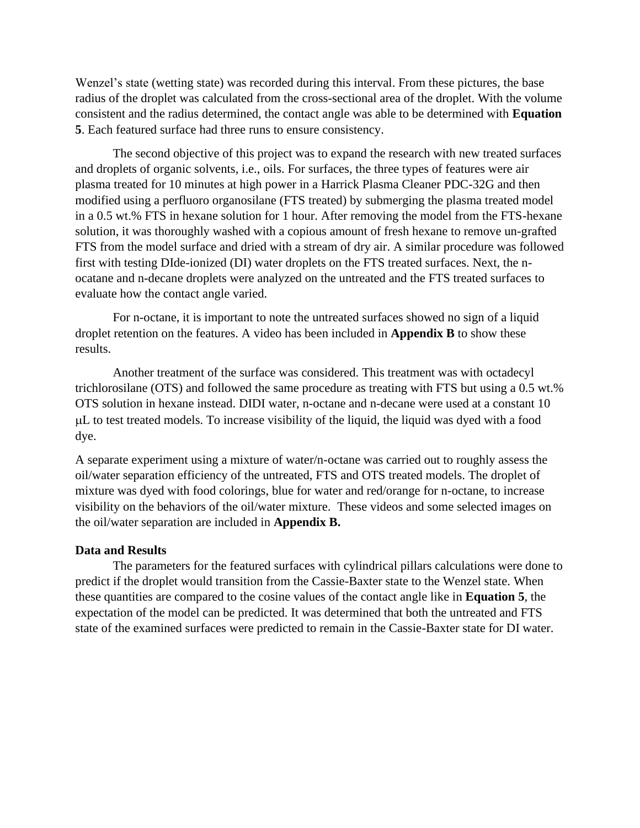Wenzel's state (wetting state) was recorded during this interval. From these pictures, the base radius of the droplet was calculated from the cross-sectional area of the droplet. With the volume consistent and the radius determined, the contact angle was able to be determined with **Equation 5**. Each featured surface had three runs to ensure consistency.

The second objective of this project was to expand the research with new treated surfaces and droplets of organic solvents, i.e., oils. For surfaces, the three types of features were air plasma treated for 10 minutes at high power in a Harrick Plasma Cleaner PDC-32G and then modified using a perfluoro organosilane (FTS treated) by submerging the plasma treated model in a 0.5 wt.% FTS in hexane solution for 1 hour. After removing the model from the FTS-hexane solution, it was thoroughly washed with a copious amount of fresh hexane to remove un-grafted FTS from the model surface and dried with a stream of dry air. A similar procedure was followed first with testing DIde-ionized (DI) water droplets on the FTS treated surfaces. Next, the nocatane and n-decane droplets were analyzed on the untreated and the FTS treated surfaces to evaluate how the contact angle varied.

For n-octane, it is important to note the untreated surfaces showed no sign of a liquid droplet retention on the features. A video has been included in **Appendix B** to show these results.

Another treatment of the surface was considered. This treatment was with octadecyl trichlorosilane (OTS) and followed the same procedure as treating with FTS but using a 0.5 wt.% OTS solution in hexane instead. DIDI water, n-octane and n-decane were used at a constant 10 L to test treated models. To increase visibility of the liquid, the liquid was dyed with a food dye.

A separate experiment using a mixture of water/n-octane was carried out to roughly assess the oil/water separation efficiency of the untreated, FTS and OTS treated models. The droplet of mixture was dyed with food colorings, blue for water and red/orange for n-octane, to increase visibility on the behaviors of the oil/water mixture. These videos and some selected images on the oil/water separation are included in **Appendix B.**

#### <span id="page-9-0"></span>**Data and Results**

The parameters for the featured surfaces with cylindrical pillars calculations were done to predict if the droplet would transition from the Cassie-Baxter state to the Wenzel state. When these quantities are compared to the cosine values of the contact angle like in **Equation 5**, the expectation of the model can be predicted. It was determined that both the untreated and FTS state of the examined surfaces were predicted to remain in the Cassie-Baxter state for DI water.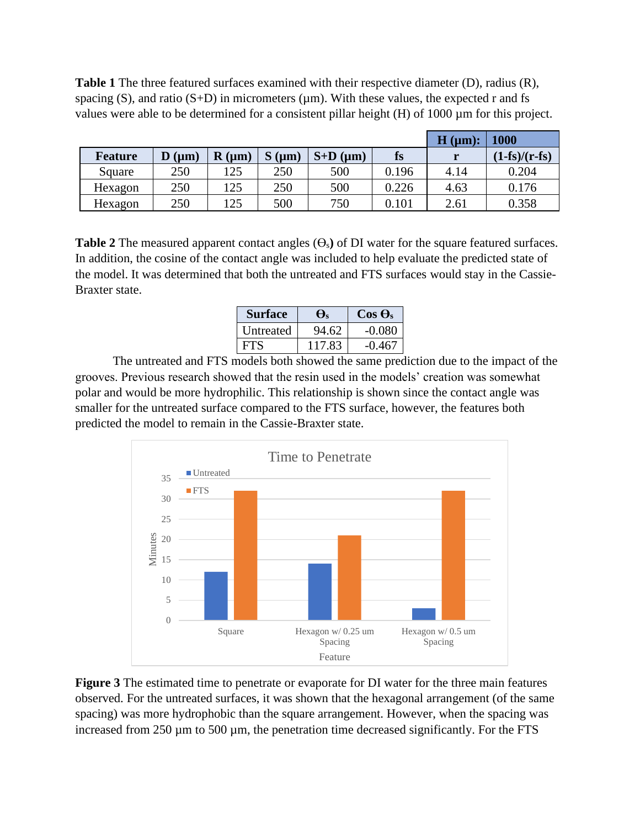**Table 1** The three featured surfaces examined with their respective diameter (D), radius (R), spacing (S), and ratio (S+D) in micrometers ( $\mu$ m). With these values, the expected r and fs values were able to be determined for a consistent pillar height (H) of 1000 µm for this project.

|                |                   |                         |            |            |       | H (µm): | <b>1000</b>     |
|----------------|-------------------|-------------------------|------------|------------|-------|---------|-----------------|
| <b>Feature</b> | $\mathbf{D}$ (µm) | $\mathbf{R}$ ( $\mu$ m) | $S(\mu m)$ | $S+D$ (µm) | fs    |         | $(1-fs)/(r-fs)$ |
| Square         | 250               | 125                     | 250        | 500        | 0.196 | 4.14    | 0.204           |
| Hexagon        | 250               | 125                     | 250        | 500        | 0.226 | 4.63    | 0.176           |
| Hexagon        | 250               | 125                     | 500        | 750        | 0.101 | 2.61    | 0.358           |

**Table 2** The measured apparent contact angles  $(\Theta_s)$  of DI water for the square featured surfaces. In addition, the cosine of the contact angle was included to help evaluate the predicted state of the model. It was determined that both the untreated and FTS surfaces would stay in the Cassie-Braxter state.

| <b>Surface</b>   | Đς     | $\cos \Theta_s$ |
|------------------|--------|-----------------|
| <b>Untreated</b> | 94.62  | $-0.080$        |
| FES              | 117.83 | -0.467          |

The untreated and FTS models both showed the same prediction due to the impact of the grooves. Previous research showed that the resin used in the models' creation was somewhat polar and would be more hydrophilic. This relationship is shown since the contact angle was smaller for the untreated surface compared to the FTS surface, however, the features both predicted the model to remain in the Cassie-Braxter state.



**Figure 3** The estimated time to penetrate or evaporate for DI water for the three main features observed. For the untreated surfaces, it was shown that the hexagonal arrangement (of the same spacing) was more hydrophobic than the square arrangement. However, when the spacing was increased from 250 µm to 500 µm, the penetration time decreased significantly. For the FTS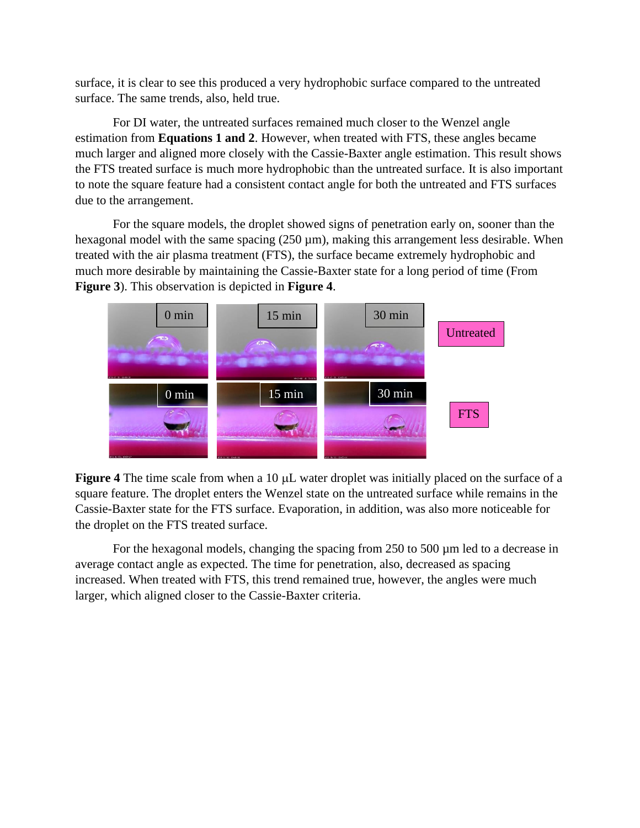surface, it is clear to see this produced a very hydrophobic surface compared to the untreated surface. The same trends, also, held true.

For DI water, the untreated surfaces remained much closer to the Wenzel angle estimation from **Equations 1 and 2**. However, when treated with FTS, these angles became much larger and aligned more closely with the Cassie-Baxter angle estimation. This result shows the FTS treated surface is much more hydrophobic than the untreated surface. It is also important to note the square feature had a consistent contact angle for both the untreated and FTS surfaces due to the arrangement.

For the square models, the droplet showed signs of penetration early on, sooner than the hexagonal model with the same spacing  $(250 \,\mu\text{m})$ , making this arrangement less desirable. When treated with the air plasma treatment (FTS), the surface became extremely hydrophobic and much more desirable by maintaining the Cassie-Baxter state for a long period of time (From **Figure 3**). This observation is depicted in **Figure 4**.



**Figure 4** The time scale from when a 10  $\mu$ L water droplet was initially placed on the surface of a square feature. The droplet enters the Wenzel state on the untreated surface while remains in the Cassie-Baxter state for the FTS surface. Evaporation, in addition, was also more noticeable for the droplet on the FTS treated surface.

For the hexagonal models, changing the spacing from 250 to 500  $\mu$ m led to a decrease in average contact angle as expected. The time for penetration, also, decreased as spacing increased. When treated with FTS, this trend remained true, however, the angles were much larger, which aligned closer to the Cassie-Baxter criteria.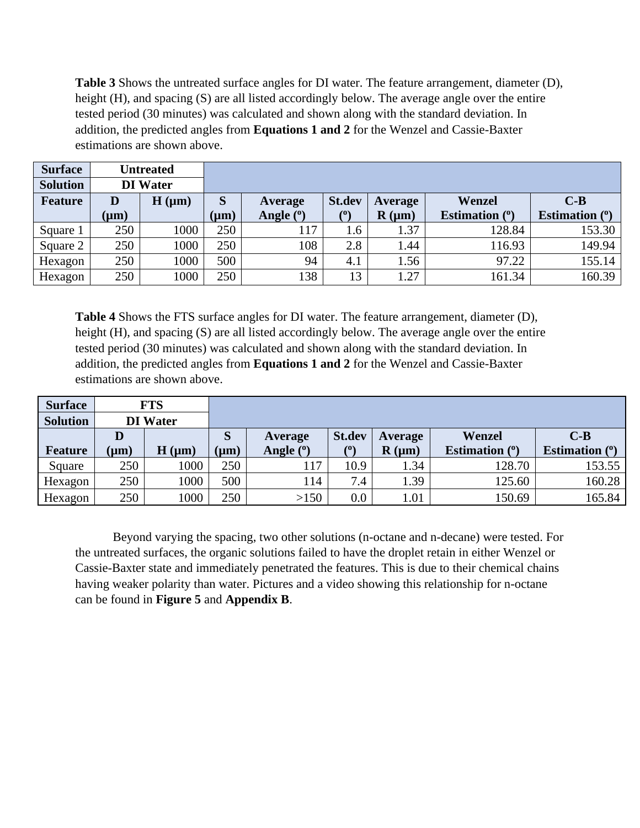**Table 3** Shows the untreated surface angles for DI water. The feature arrangement, diameter (D), height (H), and spacing (S) are all listed accordingly below. The average angle over the entire tested period (30 minutes) was calculated and shown along with the standard deviation. In addition, the predicted angles from **Equations 1 and 2** for the Wenzel and Cassie-Baxter estimations are shown above.

| <b>Surface</b>  |           | <b>Untreated</b> |           |                        |                                                     |                |                  |                  |
|-----------------|-----------|------------------|-----------|------------------------|-----------------------------------------------------|----------------|------------------|------------------|
| <b>Solution</b> |           | <b>DI</b> Water  |           |                        |                                                     |                |                  |                  |
| <b>Feature</b>  | D         | $H(\mu m)$       | S         | Average                | <b>St.dev</b>                                       | <b>Average</b> | Wenzel           | $C-B$            |
|                 | $(\mu m)$ |                  | $(\mu m)$ | Angle ( <sup>0</sup> ) | $\left( \begin{matrix} 0 \\ 0 \end{matrix} \right)$ | $R(\mu m)$     | Estimation $(°)$ | Estimation $(°)$ |
| Square 1        | 250       | 1000             | 250       | 117                    | 1.6                                                 | 1.37           | 128.84           | 153.30           |
| Square 2        | 250       | 1000             | 250       | 108                    | 2.8                                                 | .44            | 116.93           | 149.94           |
| Hexagon         | 250       | 1000             | 500       | 94                     | 4.1                                                 | 1.56           | 97.22            | 155.14           |
| Hexagon         | 250       | 1000             | 250       | 138                    | 13                                                  | 1.27           | 161.34           | 160.39           |

**Table 4** Shows the FTS surface angles for DI water. The feature arrangement, diameter (D), height (H), and spacing (S) are all listed accordingly below. The average angle over the entire tested period (30 minutes) was calculated and shown along with the standard deviation. In addition, the predicted angles from **Equations 1 and 2** for the Wenzel and Cassie-Baxter estimations are shown above.

| <b>Surface</b>  |           | <b>FTS</b>      |           |             |               |            |                  |                  |
|-----------------|-----------|-----------------|-----------|-------------|---------------|------------|------------------|------------------|
| <b>Solution</b> |           | <b>DI</b> Water |           |             |               |            |                  |                  |
|                 | D         |                 | S         | Average     | <b>St.dev</b> | Average    | Wenzel           | $C-B$            |
| <b>Feature</b>  | $(\mu m)$ | $H(\mu m)$      | $(\mu m)$ | Angle $(°)$ | (0)           | $R(\mu m)$ | Estimation $(°)$ | Estimation $(°)$ |
| Square          | 250       | 1000            | 250       | 117         | 10.9          | 1.34       | 128.70           | 153.55           |
| Hexagon         | 250       | 1000            | 500       | 114         | 7.4           | 1.39       | 125.60           | 160.28           |
| Hexagon         | 250       | 1000            | 250       | >150        | 0.0           | 1.01       | 150.69           | 165.84           |

Beyond varying the spacing, two other solutions (n-octane and n-decane) were tested. For the untreated surfaces, the organic solutions failed to have the droplet retain in either Wenzel or Cassie-Baxter state and immediately penetrated the features. This is due to their chemical chains having weaker polarity than water. Pictures and a video showing this relationship for n-octane can be found in **Figure 5** and **Appendix B**.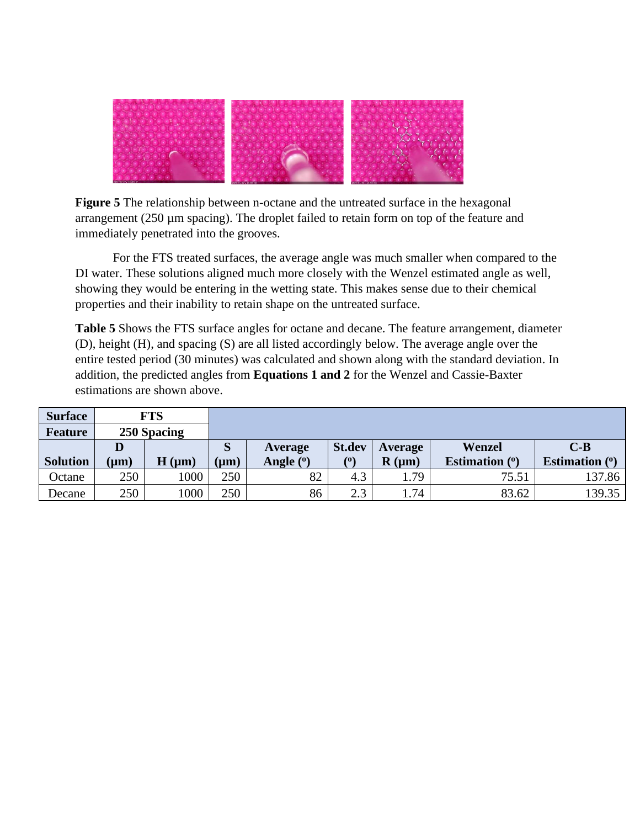

**Figure 5** The relationship between n-octane and the untreated surface in the hexagonal arrangement  $(250 \mu m)$  spacing). The droplet failed to retain form on top of the feature and immediately penetrated into the grooves.

For the FTS treated surfaces, the average angle was much smaller when compared to the DI water. These solutions aligned much more closely with the Wenzel estimated angle as well, showing they would be entering in the wetting state. This makes sense due to their chemical properties and their inability to retain shape on the untreated surface.

**Table 5** Shows the FTS surface angles for octane and decane. The feature arrangement, diameter (D), height (H), and spacing (S) are all listed accordingly below. The average angle over the entire tested period (30 minutes) was calculated and shown along with the standard deviation. In addition, the predicted angles from **Equations 1 and 2** for the Wenzel and Cassie-Baxter estimations are shown above.

| <b>Surface</b>  |           | <b>FTS</b>  |           |             |               |            |                  |                       |
|-----------------|-----------|-------------|-----------|-------------|---------------|------------|------------------|-----------------------|
| <b>Feature</b>  |           | 250 Spacing |           |             |               |            |                  |                       |
|                 | D         |             | S         | Average     | <b>St.dev</b> | Average    | Wenzel           | $C-B$                 |
| <b>Solution</b> | $(\mu m)$ | $H(\mu m)$  | $(\mu m)$ | Angle $(°)$ | (0)           | $R(\mu m)$ | Estimation $(°)$ | <b>Estimation</b> (°) |
| Octane          | 250       | 1000        | 250       | 82          | 4.3           | . . 79     | 75.51            | 137.86                |
| Decane          | 250       | 1000        | 250       | 86          | 2.3           | 1.74       | 83.62            | 139.35                |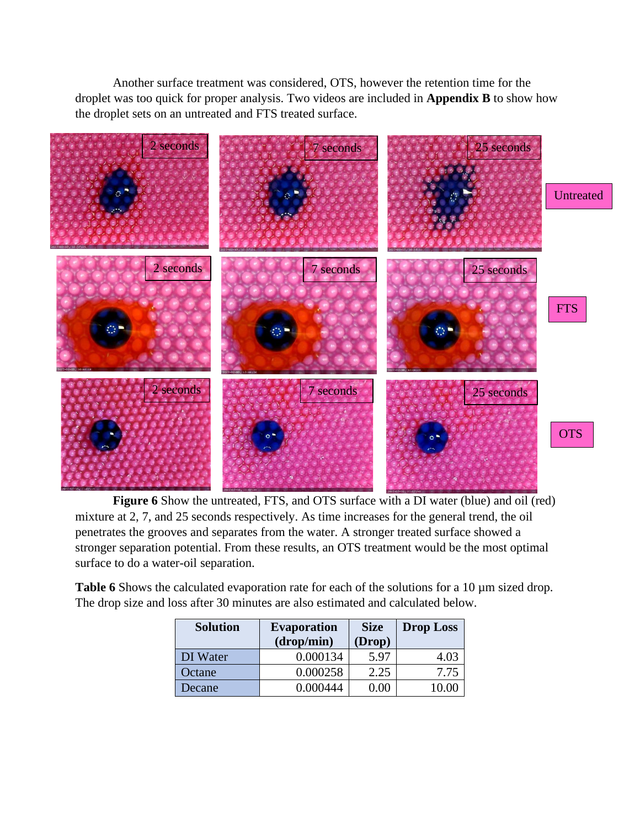Another surface treatment was considered, OTS, however the retention time for the droplet was too quick for proper analysis. Two videos are included in **Appendix B** to show how the droplet sets on an untreated and FTS treated surface.



**Figure 6** Show the untreated, FTS, and OTS surface with a DI water (blue) and oil (red) mixture at 2, 7, and 25 seconds respectively. As time increases for the general trend, the oil penetrates the grooves and separates from the water. A stronger treated surface showed a stronger separation potential. From these results, an OTS treatment would be the most optimal surface to do a water-oil separation.

Table 6 Shows the calculated evaporation rate for each of the solutions for a 10  $\mu$ m sized drop. The drop size and loss after 30 minutes are also estimated and calculated below.

| <b>Solution</b> | <b>Evaporation</b><br>(drop/min) | <b>Size</b><br>(Drop) | <b>Drop Loss</b> |
|-----------------|----------------------------------|-----------------------|------------------|
| DI Water        | 0.000134                         | 5.97                  | 4.03             |
| Octane          | 0.000258                         | 2.25                  | 7.75             |
| Decane          | 0.000444                         | 0.00                  | 1()()            |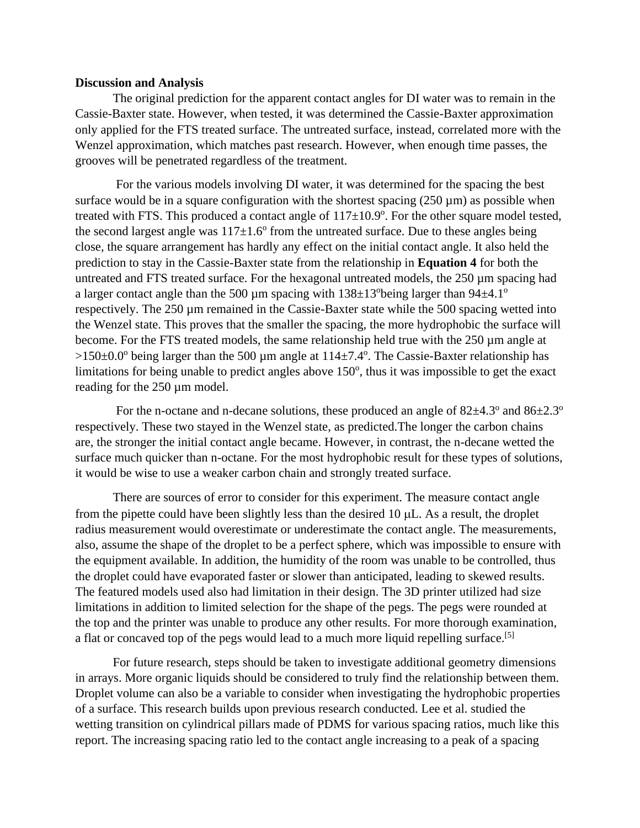#### <span id="page-15-0"></span>**Discussion and Analysis**

The original prediction for the apparent contact angles for DI water was to remain in the Cassie-Baxter state. However, when tested, it was determined the Cassie-Baxter approximation only applied for the FTS treated surface. The untreated surface, instead, correlated more with the Wenzel approximation, which matches past research. However, when enough time passes, the grooves will be penetrated regardless of the treatment.

For the various models involving DI water, it was determined for the spacing the best surface would be in a square configuration with the shortest spacing  $(250 \,\mu m)$  as possible when treated with FTS. This produced a contact angle of  $117\pm10.9^\circ$ . For the other square model tested, the second largest angle was  $117\pm1.6^{\circ}$  from the untreated surface. Due to these angles being close, the square arrangement has hardly any effect on the initial contact angle. It also held the prediction to stay in the Cassie-Baxter state from the relationship in **Equation 4** for both the untreated and FTS treated surface. For the hexagonal untreated models, the 250 µm spacing had a larger contact angle than the 500  $\mu$ m spacing with 138 $\pm$ 13<sup>o</sup>being larger than 94 $\pm$ 4.1<sup>o</sup> respectively. The 250 µm remained in the Cassie-Baxter state while the 500 spacing wetted into the Wenzel state. This proves that the smaller the spacing, the more hydrophobic the surface will become. For the FTS treated models, the same relationship held true with the 250 µm angle at  $>150\pm0.0^{\circ}$  being larger than the 500 µm angle at  $114\pm7.4^{\circ}$ . The Cassie-Baxter relationship has limitations for being unable to predict angles above 150°, thus it was impossible to get the exact reading for the 250  $\mu$ m model.

For the n-octane and n-decane solutions, these produced an angle of  $82\pm4.3^{\circ}$  and  $86\pm2.3^{\circ}$ respectively. These two stayed in the Wenzel state, as predicted.The longer the carbon chains are, the stronger the initial contact angle became. However, in contrast, the n-decane wetted the surface much quicker than n-octane. For the most hydrophobic result for these types of solutions, it would be wise to use a weaker carbon chain and strongly treated surface.

There are sources of error to consider for this experiment. The measure contact angle from the pipette could have been slightly less than the desired  $10 \mu L$ . As a result, the droplet radius measurement would overestimate or underestimate the contact angle. The measurements, also, assume the shape of the droplet to be a perfect sphere, which was impossible to ensure with the equipment available. In addition, the humidity of the room was unable to be controlled, thus the droplet could have evaporated faster or slower than anticipated, leading to skewed results. The featured models used also had limitation in their design. The 3D printer utilized had size limitations in addition to limited selection for the shape of the pegs. The pegs were rounded at the top and the printer was unable to produce any other results. For more thorough examination, a flat or concaved top of the pegs would lead to a much more liquid repelling surface.<sup>[5]</sup>

For future research, steps should be taken to investigate additional geometry dimensions in arrays. More organic liquids should be considered to truly find the relationship between them. Droplet volume can also be a variable to consider when investigating the hydrophobic properties of a surface. This research builds upon previous research conducted. Lee et al. studied the wetting transition on cylindrical pillars made of PDMS for various spacing ratios, much like this report. The increasing spacing ratio led to the contact angle increasing to a peak of a spacing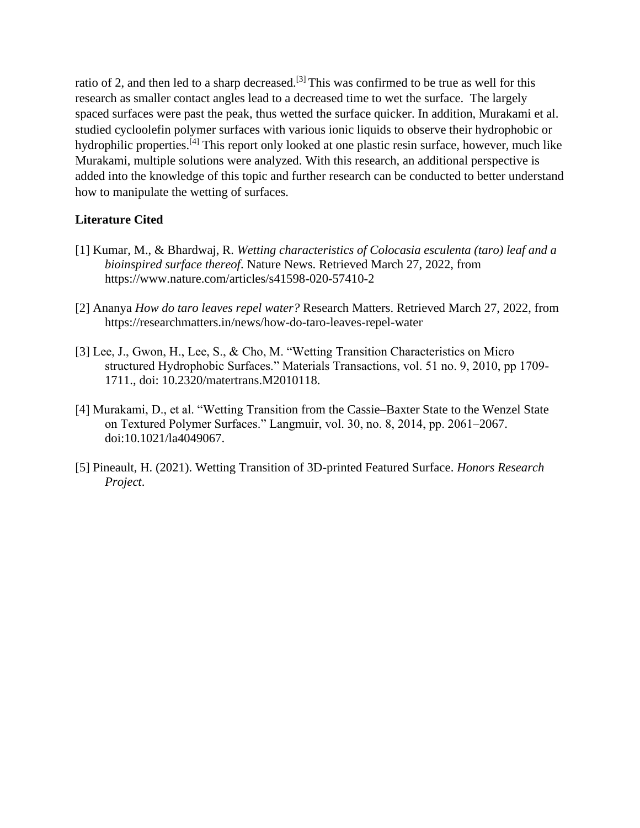ratio of 2, and then led to a sharp decreased.<sup>[3]</sup> This was confirmed to be true as well for this research as smaller contact angles lead to a decreased time to wet the surface. The largely spaced surfaces were past the peak, thus wetted the surface quicker. In addition, Murakami et al. studied cycloolefin polymer surfaces with various ionic liquids to observe their hydrophobic or hydrophilic properties.[4] This report only looked at one plastic resin surface, however, much like Murakami, multiple solutions were analyzed. With this research, an additional perspective is added into the knowledge of this topic and further research can be conducted to better understand how to manipulate the wetting of surfaces.

### <span id="page-16-0"></span>**Literature Cited**

- [1] Kumar, M., & Bhardwaj, R. *Wetting characteristics of Colocasia esculenta (taro) leaf and a bioinspired surface thereof*. Nature News. Retrieved March 27, 2022, from https://www.nature.com/articles/s41598-020-57410-2
- [2] Ananya *How do taro leaves repel water?* Research Matters. Retrieved March 27, 2022, from https://researchmatters.in/news/how-do-taro-leaves-repel-water
- [3] Lee, J., Gwon, H., Lee, S., & Cho, M. "Wetting Transition Characteristics on Micro structured Hydrophobic Surfaces." Materials Transactions, vol. 51 no. 9, 2010, pp 1709- 1711., doi: 10.2320/matertrans.M2010118.
- [4] Murakami, D., et al. "Wetting Transition from the Cassie–Baxter State to the Wenzel State on Textured Polymer Surfaces." Langmuir, vol. 30, no. 8, 2014, pp. 2061–2067. doi:10.1021/la4049067.
- [5] Pineault, H. (2021). Wetting Transition of 3D-printed Featured Surface. *Honors Research Project*.